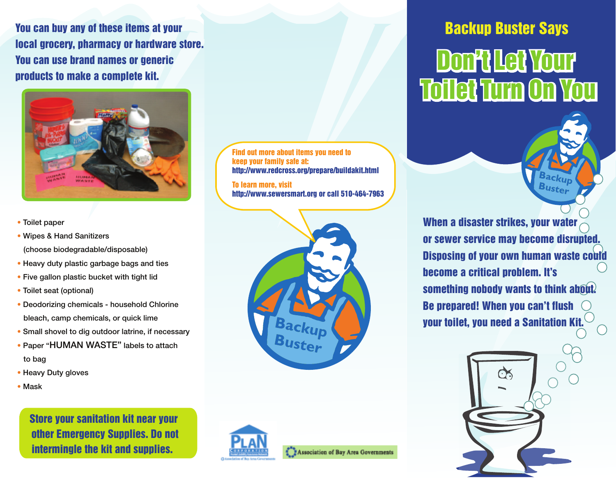You can buy any of these items at your local grocery, pharmacy or hardware store. You can use brand names or generic products to make a complete kit.



- Toilet paper
- Wipes & Hand Sanitizers

(choose biodegradable/disposable)

- Heavy duty plastic garbage bags and ties
- Five gallon plastic bucket with tight lid
- Toilet seat (optional)
- Deodorizing chemicals household Chlorine bleach, camp chemicals, or quick lime
- Small shovel to dig outdoor latrine, if necessary
- Paper "HUMAN WASTE" labels to attach to bag
- Heavy Duty gloves
- Mask

Store your sanitation kit near your other Emergency Supplies. Do not intermingle the kit and supplies.

Find out more about items you need to keep your family safe at: http://www.redcross.org/prepare/buildakit.html

To learn more, visit http://www.sewersmart.org or call 510-464-7963



# Backup Buster Says Don't Let Your Don't Let Your Toilet Turn On You Toilet Turn On You



Buster





Association of Bay Area Governments